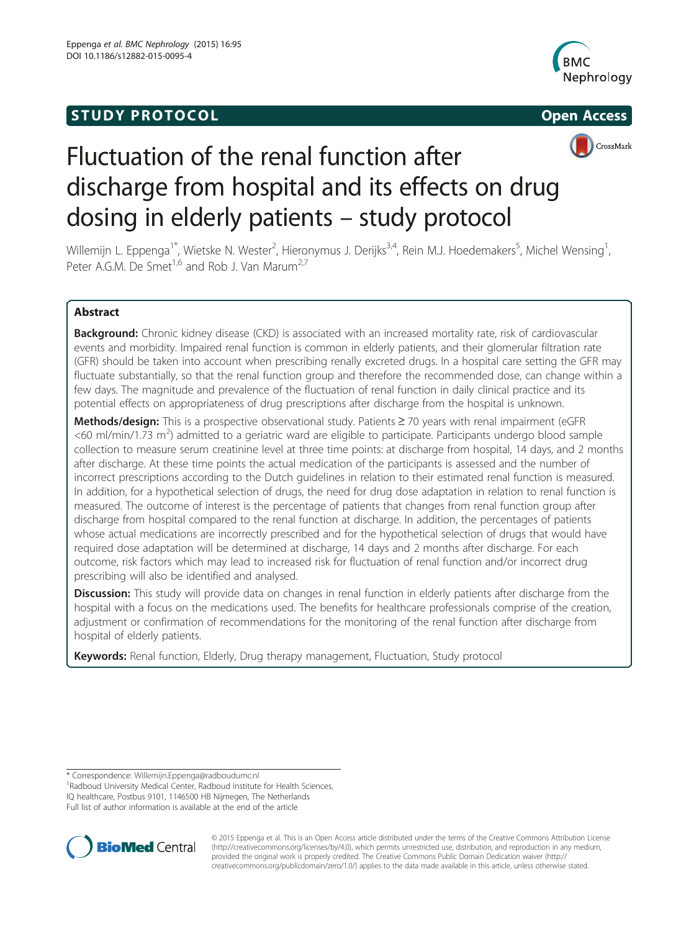# **STUDY PROTOCOL** And the set of the set of the set of the set of the set of the set of the set of the set of the set of the set of the set of the set of the set of the set of the set of the set of the set of the set of the





# Fluctuation of the renal function after discharge from hospital and its effects on drug dosing in elderly patients – study protocol

Willemijn L. Eppenga<sup>1\*</sup>, Wietske N. Wester<sup>2</sup>, Hieronymus J. Derijks<sup>3,4</sup>, Rein M.J. Hoedemakers<sup>5</sup>, Michel Wensing<sup>1</sup> , Peter A.G.M. De Smet<sup>1,6</sup> and Rob J. Van Marum<sup>2,7</sup>

# Abstract

**Background:** Chronic kidney disease (CKD) is associated with an increased mortality rate, risk of cardiovascular events and morbidity. Impaired renal function is common in elderly patients, and their glomerular filtration rate (GFR) should be taken into account when prescribing renally excreted drugs. In a hospital care setting the GFR may fluctuate substantially, so that the renal function group and therefore the recommended dose, can change within a few days. The magnitude and prevalence of the fluctuation of renal function in daily clinical practice and its potential effects on appropriateness of drug prescriptions after discharge from the hospital is unknown.

Methods/design: This is a prospective observational study. Patients ≥ 70 years with renal impairment (eGFR <60 ml/min/1.73 m<sup>2</sup>) admitted to a geriatric ward are eligible to participate. Participants undergo blood sample collection to measure serum creatinine level at three time points: at discharge from hospital, 14 days, and 2 months after discharge. At these time points the actual medication of the participants is assessed and the number of incorrect prescriptions according to the Dutch guidelines in relation to their estimated renal function is measured. In addition, for a hypothetical selection of drugs, the need for drug dose adaptation in relation to renal function is measured. The outcome of interest is the percentage of patients that changes from renal function group after discharge from hospital compared to the renal function at discharge. In addition, the percentages of patients whose actual medications are incorrectly prescribed and for the hypothetical selection of drugs that would have required dose adaptation will be determined at discharge, 14 days and 2 months after discharge. For each outcome, risk factors which may lead to increased risk for fluctuation of renal function and/or incorrect drug prescribing will also be identified and analysed.

Discussion: This study will provide data on changes in renal function in elderly patients after discharge from the hospital with a focus on the medications used. The benefits for healthcare professionals comprise of the creation, adjustment or confirmation of recommendations for the monitoring of the renal function after discharge from hospital of elderly patients.

Keywords: Renal function, Elderly, Drug therapy management, Fluctuation, Study protocol

\* Correspondence: [Willemijn.Eppenga@radboudumc.nl](mailto:Willemijn.Eppenga@radboudumc.nl) <sup>1</sup>

<sup>1</sup>Radboud University Medical Center, Radboud Institute for Health Sciences, IQ healthcare, Postbus 9101, 1146500 HB Nijmegen, The Netherlands Full list of author information is available at the end of the article



© 2015 Eppenga et al. This is an Open Access article distributed under the terms of the Creative Commons Attribution License [\(http://creativecommons.org/licenses/by/4.0\)](http://creativecommons.org/licenses/by/4.0), which permits unrestricted use, distribution, and reproduction in any medium, provided the original work is properly credited. The Creative Commons Public Domain Dedication waiver [\(http://](http://creativecommons.org/publicdomain/zero/1.0/) [creativecommons.org/publicdomain/zero/1.0/\)](http://creativecommons.org/publicdomain/zero/1.0/) applies to the data made available in this article, unless otherwise stated.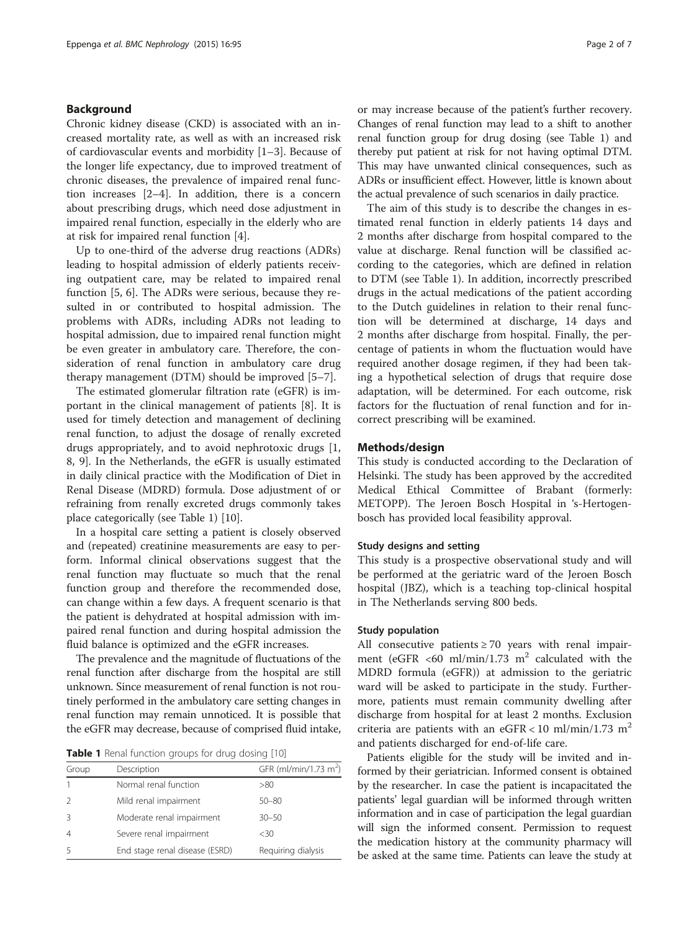### <span id="page-1-0"></span>Background

Chronic kidney disease (CKD) is associated with an increased mortality rate, as well as with an increased risk of cardiovascular events and morbidity [[1](#page-5-0)–[3](#page-5-0)]. Because of the longer life expectancy, due to improved treatment of chronic diseases, the prevalence of impaired renal function increases [[2](#page-5-0)–[4\]](#page-5-0). In addition, there is a concern about prescribing drugs, which need dose adjustment in impaired renal function, especially in the elderly who are at risk for impaired renal function [[4](#page-5-0)].

Up to one-third of the adverse drug reactions (ADRs) leading to hospital admission of elderly patients receiving outpatient care, may be related to impaired renal function [\[5](#page-5-0), [6](#page-5-0)]. The ADRs were serious, because they resulted in or contributed to hospital admission. The problems with ADRs, including ADRs not leading to hospital admission, due to impaired renal function might be even greater in ambulatory care. Therefore, the consideration of renal function in ambulatory care drug therapy management (DTM) should be improved [\[5](#page-5-0)–[7](#page-5-0)].

The estimated glomerular filtration rate (eGFR) is important in the clinical management of patients [[8\]](#page-5-0). It is used for timely detection and management of declining renal function, to adjust the dosage of renally excreted drugs appropriately, and to avoid nephrotoxic drugs [\[1](#page-5-0), [8, 9](#page-5-0)]. In the Netherlands, the eGFR is usually estimated in daily clinical practice with the Modification of Diet in Renal Disease (MDRD) formula. Dose adjustment of or refraining from renally excreted drugs commonly takes place categorically (see Table 1) [[10\]](#page-5-0).

In a hospital care setting a patient is closely observed and (repeated) creatinine measurements are easy to perform. Informal clinical observations suggest that the renal function may fluctuate so much that the renal function group and therefore the recommended dose, can change within a few days. A frequent scenario is that the patient is dehydrated at hospital admission with impaired renal function and during hospital admission the fluid balance is optimized and the eGFR increases.

The prevalence and the magnitude of fluctuations of the renal function after discharge from the hospital are still unknown. Since measurement of renal function is not routinely performed in the ambulatory care setting changes in renal function may remain unnoticed. It is possible that the eGFR may decrease, because of comprised fluid intake,

Table 1 Renal function groups for drug dosing [\[10\]](#page-5-0)

| Group | Description                    | GFR (ml/min/1.73 m <sup>2</sup> ) |
|-------|--------------------------------|-----------------------------------|
|       | Normal renal function          | >80                               |
|       | Mild renal impairment          | $50 - 80$                         |
|       | Moderate renal impairment      | $30 - 50$                         |
|       | Severe renal impairment        | <30                               |
|       | End stage renal disease (ESRD) | Requiring dialysis                |

or may increase because of the patient's further recovery. Changes of renal function may lead to a shift to another renal function group for drug dosing (see Table 1) and thereby put patient at risk for not having optimal DTM. This may have unwanted clinical consequences, such as ADRs or insufficient effect. However, little is known about the actual prevalence of such scenarios in daily practice.

The aim of this study is to describe the changes in estimated renal function in elderly patients 14 days and 2 months after discharge from hospital compared to the value at discharge. Renal function will be classified according to the categories, which are defined in relation to DTM (see Table 1). In addition, incorrectly prescribed drugs in the actual medications of the patient according to the Dutch guidelines in relation to their renal function will be determined at discharge, 14 days and 2 months after discharge from hospital. Finally, the percentage of patients in whom the fluctuation would have required another dosage regimen, if they had been taking a hypothetical selection of drugs that require dose adaptation, will be determined. For each outcome, risk factors for the fluctuation of renal function and for incorrect prescribing will be examined.

# Methods/design

This study is conducted according to the Declaration of Helsinki. The study has been approved by the accredited Medical Ethical Committee of Brabant (formerly: METOPP). The Jeroen Bosch Hospital in 's-Hertogenbosch has provided local feasibility approval.

#### Study designs and setting

This study is a prospective observational study and will be performed at the geriatric ward of the Jeroen Bosch hospital (JBZ), which is a teaching top-clinical hospital in The Netherlands serving 800 beds.

#### Study population

All consecutive patients  $\geq 70$  years with renal impairment (eGFR <60 ml/min/1.73 m<sup>2</sup> calculated with the MDRD formula (eGFR)) at admission to the geriatric ward will be asked to participate in the study. Furthermore, patients must remain community dwelling after discharge from hospital for at least 2 months. Exclusion criteria are patients with an eGFR < 10 ml/min/1.73 m<sup>2</sup> and patients discharged for end-of-life care.

Patients eligible for the study will be invited and informed by their geriatrician. Informed consent is obtained by the researcher. In case the patient is incapacitated the patients' legal guardian will be informed through written information and in case of participation the legal guardian will sign the informed consent. Permission to request the medication history at the community pharmacy will be asked at the same time. Patients can leave the study at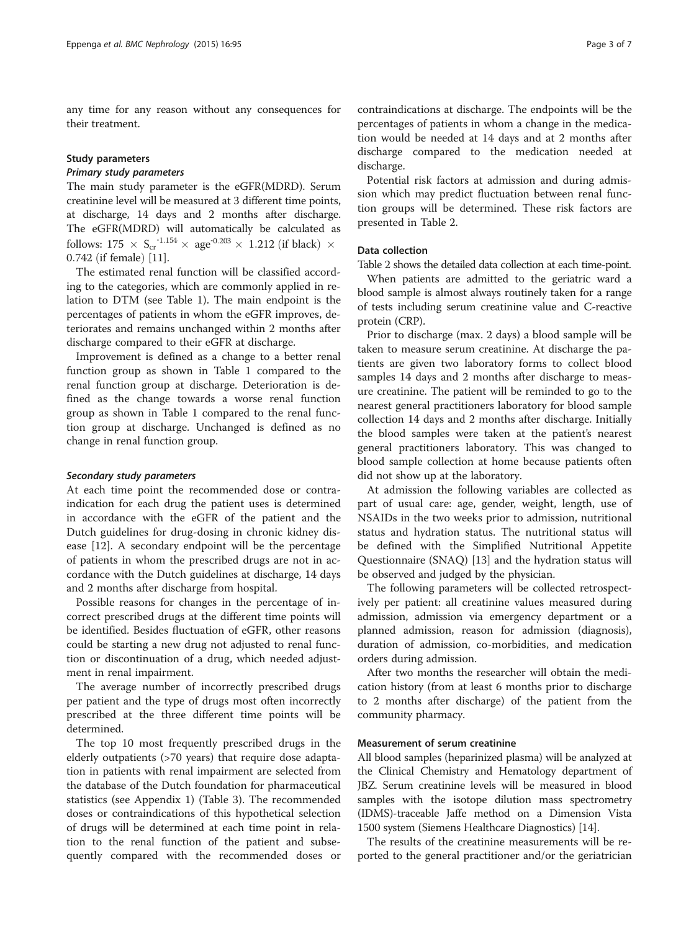any time for any reason without any consequences for their treatment.

# Study parameters

#### Primary study parameters

The main study parameter is the eGFR(MDRD). Serum creatinine level will be measured at 3 different time points, at discharge, 14 days and 2 months after discharge. The eGFR(MDRD) will automatically be calculated as follows: 175  $\times$  S<sub>cr</sub><sup>-1.154</sup>  $\times$  age<sup>-0.203</sup>  $\times$  1.212 (if black)  $\times$  $0.742$  (if female) [\[11](#page-5-0)].

The estimated renal function will be classified according to the categories, which are commonly applied in relation to DTM (see Table [1\)](#page-1-0). The main endpoint is the percentages of patients in whom the eGFR improves, deteriorates and remains unchanged within 2 months after discharge compared to their eGFR at discharge.

Improvement is defined as a change to a better renal function group as shown in Table [1](#page-1-0) compared to the renal function group at discharge. Deterioration is defined as the change towards a worse renal function group as shown in Table [1](#page-1-0) compared to the renal function group at discharge. Unchanged is defined as no change in renal function group.

#### Secondary study parameters

At each time point the recommended dose or contraindication for each drug the patient uses is determined in accordance with the eGFR of the patient and the Dutch guidelines for drug-dosing in chronic kidney disease [\[12\]](#page-5-0). A secondary endpoint will be the percentage of patients in whom the prescribed drugs are not in accordance with the Dutch guidelines at discharge, 14 days and 2 months after discharge from hospital.

Possible reasons for changes in the percentage of incorrect prescribed drugs at the different time points will be identified. Besides fluctuation of eGFR, other reasons could be starting a new drug not adjusted to renal function or discontinuation of a drug, which needed adjustment in renal impairment.

The average number of incorrectly prescribed drugs per patient and the type of drugs most often incorrectly prescribed at the three different time points will be determined.

The top 10 most frequently prescribed drugs in the elderly outpatients (>70 years) that require dose adaptation in patients with renal impairment are selected from the database of the Dutch foundation for pharmaceutical statistics (see [Appendix 1\)](#page-4-0) (Table 3). The recommended doses or contraindications of this hypothetical selection of drugs will be determined at each time point in relation to the renal function of the patient and subsequently compared with the recommended doses or

contraindications at discharge. The endpoints will be the percentages of patients in whom a change in the medication would be needed at 14 days and at 2 months after discharge compared to the medication needed at discharge.

Potential risk factors at admission and during admission which may predict fluctuation between renal function groups will be determined. These risk factors are presented in Table [2](#page-3-0).

# Data collection

Table [2](#page-3-0) shows the detailed data collection at each time-point.

When patients are admitted to the geriatric ward a blood sample is almost always routinely taken for a range of tests including serum creatinine value and C-reactive protein (CRP).

Prior to discharge (max. 2 days) a blood sample will be taken to measure serum creatinine. At discharge the patients are given two laboratory forms to collect blood samples 14 days and 2 months after discharge to measure creatinine. The patient will be reminded to go to the nearest general practitioners laboratory for blood sample collection 14 days and 2 months after discharge. Initially the blood samples were taken at the patient's nearest general practitioners laboratory. This was changed to blood sample collection at home because patients often did not show up at the laboratory.

At admission the following variables are collected as part of usual care: age, gender, weight, length, use of NSAIDs in the two weeks prior to admission, nutritional status and hydration status. The nutritional status will be defined with the Simplified Nutritional Appetite Questionnaire (SNAQ) [\[13](#page-5-0)] and the hydration status will be observed and judged by the physician.

The following parameters will be collected retrospectively per patient: all creatinine values measured during admission, admission via emergency department or a planned admission, reason for admission (diagnosis), duration of admission, co-morbidities, and medication orders during admission.

After two months the researcher will obtain the medication history (from at least 6 months prior to discharge to 2 months after discharge) of the patient from the community pharmacy.

#### Measurement of serum creatinine

All blood samples (heparinized plasma) will be analyzed at the Clinical Chemistry and Hematology department of JBZ. Serum creatinine levels will be measured in blood samples with the isotope dilution mass spectrometry (IDMS)-traceable Jaffe method on a Dimension Vista 1500 system (Siemens Healthcare Diagnostics) [\[14\]](#page-5-0).

The results of the creatinine measurements will be reported to the general practitioner and/or the geriatrician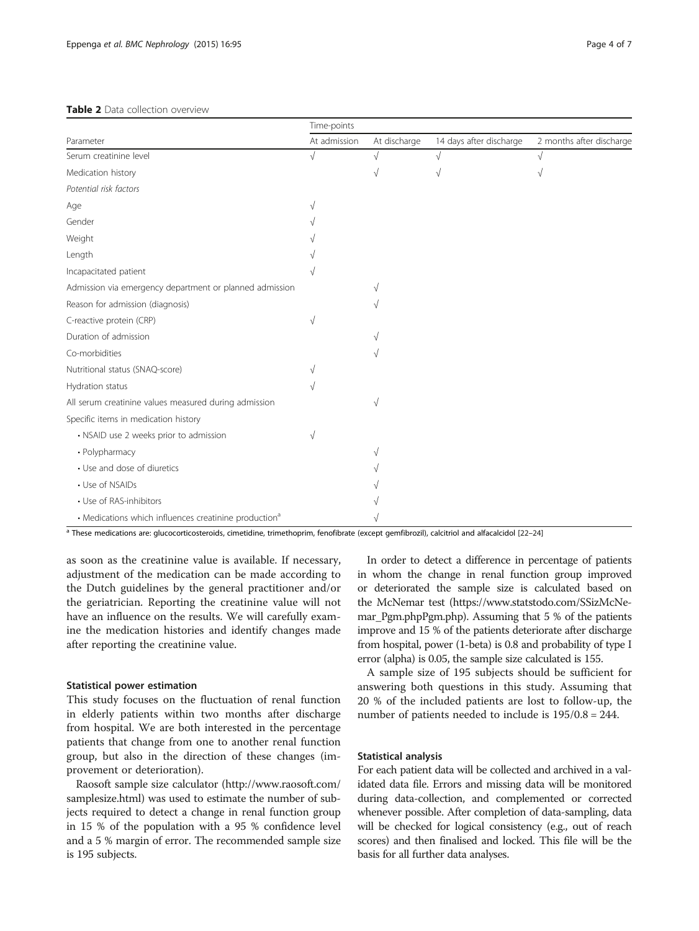#### <span id="page-3-0"></span>**Table 2** Data collection overview

|                                                                   | Time-points  |              |                         |                          |
|-------------------------------------------------------------------|--------------|--------------|-------------------------|--------------------------|
| Parameter                                                         | At admission | At discharge | 14 days after discharge | 2 months after discharge |
| Serum creatinine level                                            | $\sqrt{ }$   |              |                         | $\sqrt{ }$               |
| Medication history                                                |              |              |                         |                          |
| Potential risk factors                                            |              |              |                         |                          |
| Age                                                               | $\sqrt{}$    |              |                         |                          |
| Gender                                                            |              |              |                         |                          |
| Weight                                                            |              |              |                         |                          |
| Length                                                            |              |              |                         |                          |
| Incapacitated patient                                             |              |              |                         |                          |
| Admission via emergency department or planned admission           |              | V            |                         |                          |
| Reason for admission (diagnosis)                                  |              |              |                         |                          |
| C-reactive protein (CRP)                                          | $\sqrt{}$    |              |                         |                          |
| Duration of admission                                             |              |              |                         |                          |
| Co-morbidities                                                    |              |              |                         |                          |
| Nutritional status (SNAQ-score)                                   | V            |              |                         |                          |
| Hydration status                                                  |              |              |                         |                          |
| All serum creatinine values measured during admission             |              | $\sqrt{}$    |                         |                          |
| Specific items in medication history                              |              |              |                         |                          |
| · NSAID use 2 weeks prior to admission                            | $\sqrt{ }$   |              |                         |                          |
| • Polypharmacy                                                    |              | $\sqrt{}$    |                         |                          |
| • Use and dose of diuretics                                       |              |              |                         |                          |
| • Use of NSAIDs                                                   |              |              |                         |                          |
| • Use of RAS-inhibitors                                           |              |              |                         |                          |
| • Medications which influences creatinine production <sup>a</sup> |              |              |                         |                          |

<sup>a</sup> These medications are: glucocorticosteroids, cimetidine, trimethoprim, fenofibrate (except gemfibrozil), calcitriol and alfacalcidol [\[22](#page-6-0)-[24](#page-6-0)]

as soon as the creatinine value is available. If necessary, adjustment of the medication can be made according to the Dutch guidelines by the general practitioner and/or the geriatrician. Reporting the creatinine value will not have an influence on the results. We will carefully examine the medication histories and identify changes made after reporting the creatinine value.

# Statistical power estimation

This study focuses on the fluctuation of renal function in elderly patients within two months after discharge from hospital. We are both interested in the percentage patients that change from one to another renal function group, but also in the direction of these changes (improvement or deterioration).

Raosoft sample size calculator [\(http://www.raosoft.com/](http://www.raosoft.com/samplesize.html) [samplesize.html](http://www.raosoft.com/samplesize.html)) was used to estimate the number of subjects required to detect a change in renal function group in 15 % of the population with a 95 % confidence level and a 5 % margin of error. The recommended sample size is 195 subjects.

In order to detect a difference in percentage of patients in whom the change in renal function group improved or deteriorated the sample size is calculated based on the McNemar test [\(https://www.statstodo.com/SSizMcNe](https://www.statstodo.com/SSizMcNemar_Pgm.php)[mar\\_Pgm.phpPgm.php\)](https://www.statstodo.com/SSizMcNemar_Pgm.php). Assuming that 5 % of the patients improve and 15 % of the patients deteriorate after discharge from hospital, power (1-beta) is 0.8 and probability of type I error (alpha) is 0.05, the sample size calculated is 155.

A sample size of 195 subjects should be sufficient for answering both questions in this study. Assuming that 20 % of the included patients are lost to follow-up, the number of patients needed to include is 195/0.8 = 244.

#### Statistical analysis

For each patient data will be collected and archived in a validated data file. Errors and missing data will be monitored during data-collection, and complemented or corrected whenever possible. After completion of data-sampling, data will be checked for logical consistency (e.g., out of reach scores) and then finalised and locked. This file will be the basis for all further data analyses.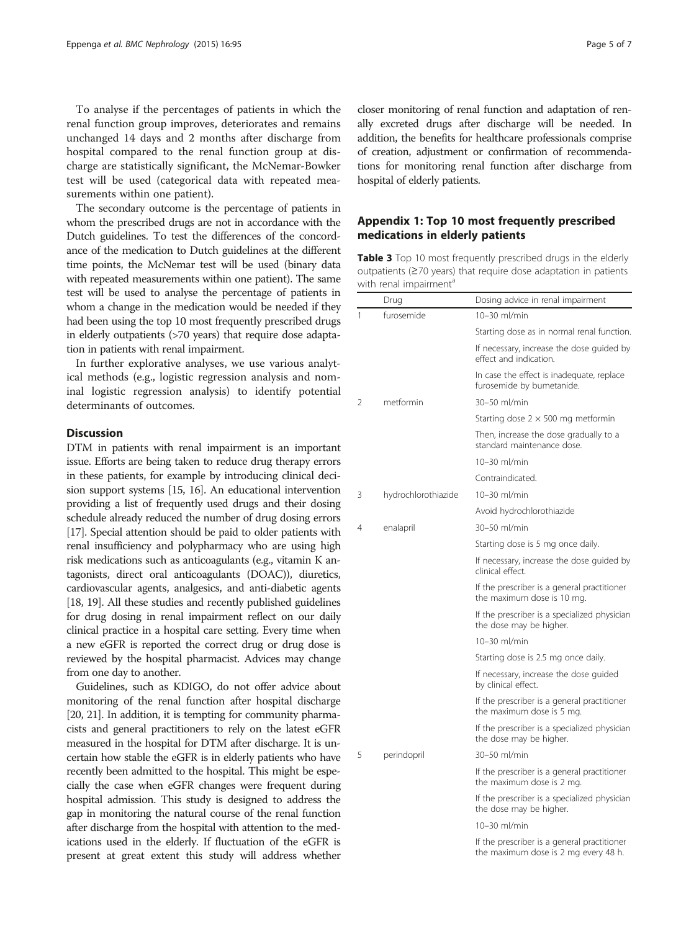<span id="page-4-0"></span>To analyse if the percentages of patients in which the renal function group improves, deteriorates and remains unchanged 14 days and 2 months after discharge from hospital compared to the renal function group at discharge are statistically significant, the McNemar-Bowker test will be used (categorical data with repeated measurements within one patient).

The secondary outcome is the percentage of patients in whom the prescribed drugs are not in accordance with the Dutch guidelines. To test the differences of the concordance of the medication to Dutch guidelines at the different time points, the McNemar test will be used (binary data with repeated measurements within one patient). The same test will be used to analyse the percentage of patients in whom a change in the medication would be needed if they had been using the top 10 most frequently prescribed drugs in elderly outpatients (>70 years) that require dose adaptation in patients with renal impairment.

In further explorative analyses, we use various analytical methods (e.g., logistic regression analysis and nominal logistic regression analysis) to identify potential determinants of outcomes.

# Discussion

DTM in patients with renal impairment is an important issue. Efforts are being taken to reduce drug therapy errors in these patients, for example by introducing clinical decision support systems [\[15, 16\]](#page-5-0). An educational intervention providing a list of frequently used drugs and their dosing schedule already reduced the number of drug dosing errors [[17](#page-5-0)]. Special attention should be paid to older patients with renal insufficiency and polypharmacy who are using high risk medications such as anticoagulants (e.g., vitamin K antagonists, direct oral anticoagulants (DOAC)), diuretics, cardiovascular agents, analgesics, and anti-diabetic agents [[18](#page-6-0), [19\]](#page-6-0). All these studies and recently published guidelines for drug dosing in renal impairment reflect on our daily clinical practice in a hospital care setting. Every time when a new eGFR is reported the correct drug or drug dose is reviewed by the hospital pharmacist. Advices may change from one day to another.

Guidelines, such as KDIGO, do not offer advice about monitoring of the renal function after hospital discharge [[20](#page-6-0), [21](#page-6-0)]. In addition, it is tempting for community pharmacists and general practitioners to rely on the latest eGFR measured in the hospital for DTM after discharge. It is uncertain how stable the eGFR is in elderly patients who have recently been admitted to the hospital. This might be especially the case when eGFR changes were frequent during hospital admission. This study is designed to address the gap in monitoring the natural course of the renal function after discharge from the hospital with attention to the medications used in the elderly. If fluctuation of the eGFR is present at great extent this study will address whether

closer monitoring of renal function and adaptation of renally excreted drugs after discharge will be needed. In addition, the benefits for healthcare professionals comprise of creation, adjustment or confirmation of recommendations for monitoring renal function after discharge from hospital of elderly patients.

# Appendix 1: Top 10 most frequently prescribed medications in elderly patients

Table 3 Top 10 most frequently prescribed drugs in the elderly outpatients (≥70 years) that require dose adaptation in patients with renal impairment<sup>a</sup>

|   | Drug                | Dosing advice in renal impairment                                                   |
|---|---------------------|-------------------------------------------------------------------------------------|
| 1 | furosemide          | 10-30 ml/min                                                                        |
|   |                     | Starting dose as in normal renal function.                                          |
|   |                     | If necessary, increase the dose guided by<br>effect and indication.                 |
|   |                     | In case the effect is inadequate, replace<br>furosemide by bumetanide.              |
| 2 | metformin           | 30-50 ml/min                                                                        |
|   |                     | Starting dose $2 \times 500$ mg metformin                                           |
|   |                     | Then, increase the dose gradually to a<br>standard maintenance dose.                |
|   |                     | $10-30$ ml/min                                                                      |
|   |                     | Contraindicated.                                                                    |
| 3 | hydrochlorothiazide | 10-30 ml/min                                                                        |
|   |                     | Avoid hydrochlorothiazide                                                           |
| 4 | enalapril           | 30-50 ml/min                                                                        |
|   |                     | Starting dose is 5 mg once daily.                                                   |
|   |                     | If necessary, increase the dose guided by<br>clinical effect.                       |
|   |                     | If the prescriber is a general practitioner<br>the maximum dose is 10 mg.           |
|   |                     | If the prescriber is a specialized physician<br>the dose may be higher.             |
|   |                     | $10-30$ ml/min                                                                      |
|   |                     | Starting dose is 2.5 mg once daily.                                                 |
|   |                     | If necessary, increase the dose guided<br>by clinical effect.                       |
|   |                     | If the prescriber is a general practitioner<br>the maximum dose is 5 mg.            |
|   |                     | If the prescriber is a specialized physician<br>the dose may be higher.             |
| 5 | perindopril         | 30-50 ml/min                                                                        |
|   |                     | If the prescriber is a general practitioner<br>the maximum dose is 2 mg.            |
|   |                     | If the prescriber is a specialized physician<br>the dose may be higher.             |
|   |                     | 10-30 ml/min                                                                        |
|   |                     | If the prescriber is a general practitioner<br>the maximum dose is 2 mg every 48 h. |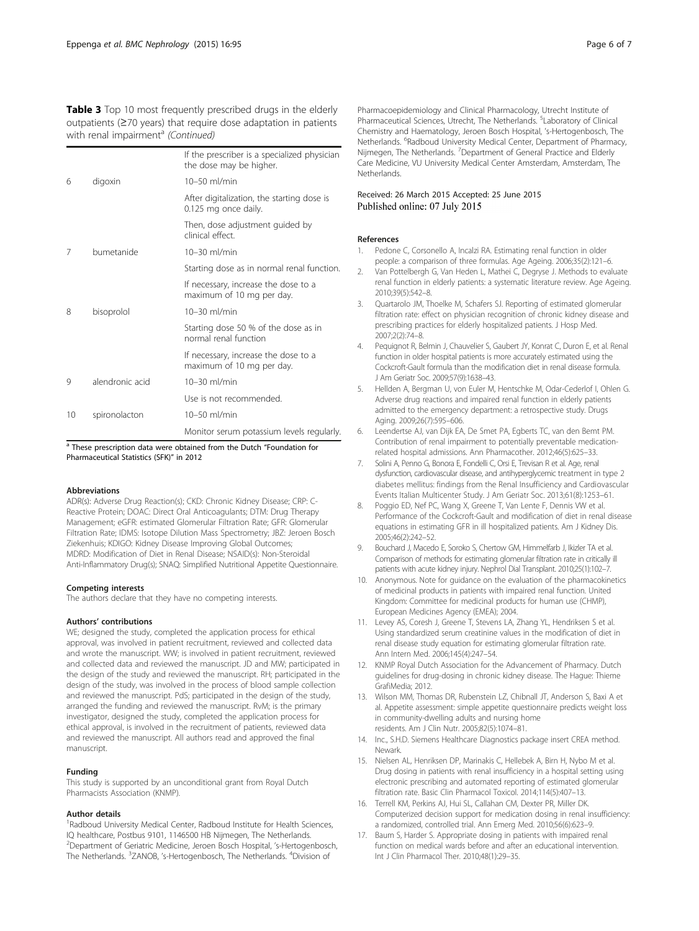<span id="page-5-0"></span>Table 3 Top 10 most frequently prescribed drugs in the elderly outpatients (≥70 years) that require dose adaptation in patients with renal impairment<sup>a</sup> (Continued)

|    |                 | If the prescriber is a specialized physician<br>the dose may be higher. |
|----|-----------------|-------------------------------------------------------------------------|
| 6  | digoxin         | $10-50$ ml/min                                                          |
|    |                 | After digitalization, the starting dose is<br>0.125 mg once daily.      |
|    |                 | Then, dose adjustment guided by<br>clinical effect.                     |
|    | bumetanide      | $10-30$ ml/min                                                          |
|    |                 | Starting dose as in normal renal function.                              |
|    |                 | If necessary, increase the dose to a<br>maximum of 10 mg per day.       |
| 8  | bisoprolol      | $10-30$ ml/min                                                          |
|    |                 | Starting dose 50 % of the dose as in<br>normal renal function           |
|    |                 | If necessary, increase the dose to a<br>maximum of 10 mg per day.       |
| 9  | alendronic acid | $10-30$ ml/min                                                          |
|    |                 | Use is not recommended.                                                 |
| 10 | spironolacton   | 10-50 ml/min                                                            |
|    |                 | Monitor serum potassium levels regularly.                               |

<sup>a</sup> These prescription data were obtained from the Dutch "Foundation for Pharmaceutical Statistics (SFK)" in 2012

#### Abbreviations

ADR(s): Adverse Drug Reaction(s); CKD: Chronic Kidney Disease; CRP: C-Reactive Protein; DOAC: Direct Oral Anticoagulants; DTM: Drug Therapy Management; eGFR: estimated Glomerular Filtration Rate; GFR: Glomerular Filtration Rate; IDMS: Isotope Dilution Mass Spectrometry; JBZ: Jeroen Bosch Ziekenhuis; KDIGO: Kidney Disease Improving Global Outcomes; MDRD: Modification of Diet in Renal Disease; NSAID(s): Non-Steroidal Anti-Inflammatory Drug(s); SNAQ: Simplified Nutritional Appetite Questionnaire.

#### Competing interests

The authors declare that they have no competing interests.

#### Authors' contributions

WE; designed the study, completed the application process for ethical approval, was involved in patient recruitment, reviewed and collected data and wrote the manuscript. WW; is involved in patient recruitment, reviewed and collected data and reviewed the manuscript. JD and MW; participated in the design of the study and reviewed the manuscript. RH; participated in the design of the study, was involved in the process of blood sample collection and reviewed the manuscript. PdS; participated in the design of the study, arranged the funding and reviewed the manuscript. RvM; is the primary investigator, designed the study, completed the application process for ethical approval, is involved in the recruitment of patients, reviewed data and reviewed the manuscript. All authors read and approved the final manuscript.

#### Funding

This study is supported by an unconditional grant from Royal Dutch Pharmacists Association (KNMP).

#### Author details

<sup>1</sup>Radboud University Medical Center, Radboud Institute for Health Sciences, IQ healthcare, Postbus 9101, 1146500 HB Nijmegen, The Netherlands. 2 Department of Geriatric Medicine, Jeroen Bosch Hospital, 's-Hertogenbosch, The Netherlands. <sup>3</sup>ZANOB, 's-Hertogenbosch, The Netherlands. <sup>4</sup>Division of

Pharmacoepidemiology and Clinical Pharmacology, Utrecht Institute of Pharmaceutical Sciences, Utrecht, The Netherlands. <sup>5</sup>Laboratory of Clinical Chemistry and Haematology, Jeroen Bosch Hospital, 's-Hertogenbosch, The Netherlands. <sup>6</sup>Radboud University Medical Center, Department of Pharmacy, Nijmegen, The Netherlands. <sup>7</sup> Department of General Practice and Elderly Care Medicine, VU University Medical Center Amsterdam, Amsterdam, The Netherlands.

# Received: 26 March 2015 Accepted: 25 June 2015<br>Published online: 07 July 2015

#### References

- 1. Pedone C, Corsonello A, Incalzi RA. Estimating renal function in older people: a comparison of three formulas. Age Ageing. 2006;35(2):121–6.
- Van Pottelbergh G, Van Heden L, Mathei C, Degryse J. Methods to evaluate renal function in elderly patients: a systematic literature review. Age Ageing. 2010;39(5):542–8.
- Quartarolo JM, Thoelke M, Schafers SJ. Reporting of estimated glomerular filtration rate: effect on physician recognition of chronic kidney disease and prescribing practices for elderly hospitalized patients. J Hosp Med. 2007;2(2):74–8.
- 4. Pequignot R, Belmin J, Chauvelier S, Gaubert JY, Konrat C, Duron E, et al. Renal function in older hospital patients is more accurately estimated using the Cockcroft-Gault formula than the modification diet in renal disease formula. J Am Geriatr Soc. 2009;57(9):1638–43.
- 5. Hellden A, Bergman U, von Euler M, Hentschke M, Odar-Cederlof I, Ohlen G. Adverse drug reactions and impaired renal function in elderly patients admitted to the emergency department: a retrospective study. Drugs Aging. 2009;26(7):595–606.
- 6. Leendertse AJ, van Dijk EA, De Smet PA, Egberts TC, van den Bemt PM. Contribution of renal impairment to potentially preventable medicationrelated hospital admissions. Ann Pharmacother. 2012;46(5):625–33.
- 7. Solini A, Penno G, Bonora E, Fondelli C, Orsi E, Trevisan R et al. Age, renal dysfunction, cardiovascular disease, and antihyperglycemic treatment in type 2 diabetes mellitus: findings from the Renal Insufficiency and Cardiovascular Events Italian Multicenter Study. J Am Geriatr Soc. 2013;61(8):1253–61.
- 8. Poggio ED, Nef PC, Wang X, Greene T, Van Lente F, Dennis VW et al. Performance of the Cockcroft-Gault and modification of diet in renal disease equations in estimating GFR in ill hospitalized patients. Am J Kidney Dis. 2005;46(2):242–52.
- 9. Bouchard J, Macedo E, Soroko S, Chertow GM, Himmelfarb J, Ikizler TA et al. Comparison of methods for estimating glomerular filtration rate in critically ill patients with acute kidney injury. Nephrol Dial Transplant. 2010;25(1):102–7.
- 10. Anonymous. Note for guidance on the evaluation of the pharmacokinetics of medicinal products in patients with impaired renal function. United Kingdom: Committee for medicinal products for human use (CHMP), European Medicines Agency (EMEA); 2004.
- 11. Levey AS, Coresh J, Greene T, Stevens LA, Zhang YL, Hendriksen S et al. Using standardized serum creatinine values in the modification of diet in renal disease study equation for estimating glomerular filtration rate. Ann Intern Med. 2006;145(4):247–54.
- 12. KNMP Royal Dutch Association for the Advancement of Pharmacy. Dutch guidelines for drug-dosing in chronic kidney disease. The Hague: Thieme GrafiMedia; 2012.
- 13. Wilson MM, Thomas DR, Rubenstein LZ, Chibnall JT, Anderson S, Baxi A et al. Appetite assessment: simple appetite questionnaire predicts weight loss in community-dwelling adults and nursing home residents. Am J Clin Nutr. 2005;82(5):1074–81.
- 14. Inc., S.H.D. Siemens Healthcare Diagnostics package insert CREA method. Newark.
- 15. Nielsen AL, Henriksen DP, Marinakis C, Hellebek A, Birn H, Nybo M et al. Drug dosing in patients with renal insufficiency in a hospital setting using electronic prescribing and automated reporting of estimated glomerular filtration rate. Basic Clin Pharmacol Toxicol. 2014;114(5):407–13.
- 16. Terrell KM, Perkins AJ, Hui SL, Callahan CM, Dexter PR, Miller DK. Computerized decision support for medication dosing in renal insufficiency: a randomized, controlled trial. Ann Emerg Med. 2010;56(6):623–9.
- 17. Baum S, Harder S. Appropriate dosing in patients with impaired renal function on medical wards before and after an educational intervention. Int J Clin Pharmacol Ther. 2010;48(1):29–35.